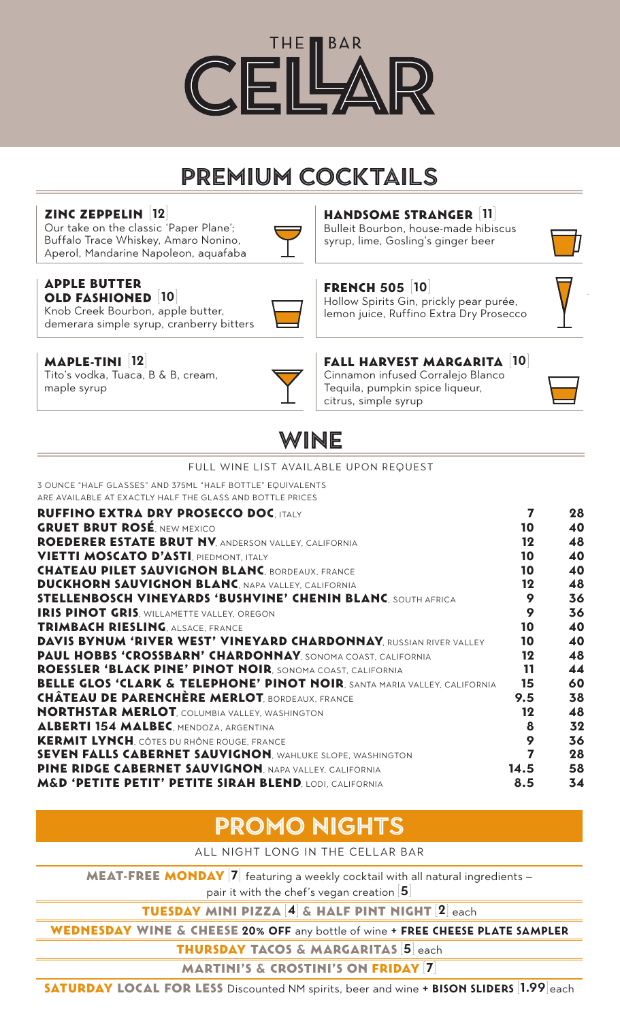

# **PREMIUM COCKTAILS**

# Zinc Zeppelin [**12**]

Our take on the classic 'Paper Plane'; Buffalo Trace Whiskey, Amaro Nonino, Aperol, Mandarine Napoleon, aquafaba



### Handsome Stranger [**11**]

Bulleit Bourbon, house-made hibiscus syrup, lime, Gosling's ginger beer



#### Apple Butter Old Fashioned [**10**]

Knob Creek Bourbon, apple butter, demerara simple syrup, cranberry bitters



# French 505 [**10**]

Hollow Spirits Gin, prickly pear purée, lemon juice, Ruffino Extra Dry Prosecco

Fall Harvest Margarita [**10**]

# Maple-Tini [**12**]

Tito's vodka, Tuaca, B & B, cream, maple syrup



#### Cinnamon infused Corralejo Blanco Tequila, pumpkin spice liqueur, citrus, simple syrup



# **WINE**

#### FULL WINE LIST AVAILABLE UPON REQUEST 3 OUNCE "HALF GLASSES" AND 375ML "HALF BOTTLE" EQUIVALENTS ARE AVAILABLE AT EXACTLY HALF THE GLASS AND BOTTLE PRICES RUFFINO EXTRA DRY PROSECCO DOC, ITALY **1988 1999 128 PM 28** GRUET BRUT ROSÉ, NEW MEXICO **10 and 20 and 20 and 20 and 20 and 20 and 20 and 20 and 20 and 20 and 20 and 20 and 20** ROEDERER ESTATE BRUT NV, ANDERSON VALLEY, CALIFORNIA 12 48 **VIETTI MOSCATO D'ASTI**, PIEDMONT, ITALY **10 10 10 10 10 CHATEAU PILET SAUVIGNON BLANC**, BORDEAUX, FRANCE 10 40 **DUCKHORN SAUVIGNON BLANC**, NAPA VALLEY, CALIFORNIA 12 48 STELLENBOSCH VINEYARDS 'BUSHVINE' CHENIN BLANC, SOUTH AFRICA 9 36 **IRIS PINOT GRIS**, WILLAMETTE VALLEY, OREGON **1899 120 130** 36 **TRIMBACH RIESLING**, ALSACE, FRANCE **10 40** 40 DAVIS BYNUM 'RIVER WEST' VINEYARD CHARDONNAY, RUSSIAN RIVER VALLEY 10 40 PAUL HOBBS 'CROSSBARN' CHARDONNAY, SONOMA COAST, CALIFORNIA 12 48 ROESSLER 'BLACK PINE' PINOT NOIR, SONOMA COAST, CALIFORNIA 11 44 BELLE GLOS 'CLARK & TELEPHONE' PINOT NOIR, SANTA MARIA VALLEY, CALIFORNIA 15 60 CHÂTEAU DE PARENCHÈRE MERLOT, BORDEAUX, FRANCE **1998 1-1998 1-1999 1-1999 1-1999** 1-2010 **NORTHSTAR MERLOT**, COLUMBIA VALLEY, WASHINGTON **12** 48 ALBERTI 154 MALBEC, MENDOZA, ARGENTINA **1999 - 1999 - 1999 - 1999 - 1999 - 1999 - 1999 - 1999 - 1999 - 1999 - 1** KERMIT LYNCH, CÔTES DU RHÔNE ROUGE, FRANCE **1988 - 1998 - 1998 - 1999 - 36** 36 SEVEN FALLS CABERNET SAUVIGNON, WAHLUKE SLOPE, WASHINGTON 7 28 PINE RIDGE CABERNET SAUVIGNON, NAPA VALLEY, CALIFORNIA 14.5 58 M&D 'PETITE PETIT' PETITE SIRAH BLEND, LODI, CALIFORNIA 6.5 34

# **PROMO NIGHTS**

ALL NIGHT LONG IN THE CELLAR BAR

MEAT-FREE MONDAY [7] featuring a weekly cocktail with all natural ingredients pair it with the chef's vegan creation [**5**]

Tuesday mini pizza [**4**] & Half pint Night [**2**] each

Wednesday Wine & Cheese **20% off** any bottle of wine **+ free cheese plate sampler**

Thursday Tacos & Margaritas [**5**] each

Martini's & Crostini's on Friday [**7**]

Saturday Local for Less Discounted NM spirits, beer and wine **<sup>+</sup> Bison Sliders** [**1.99**]each